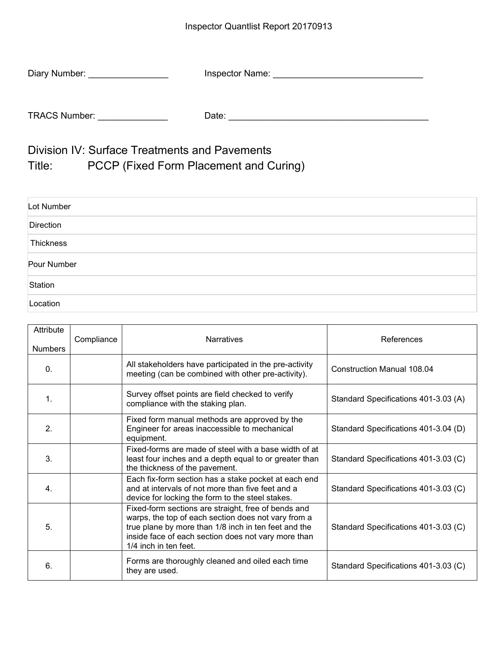| Diary Number:        | <b>Inspector Name:</b> |
|----------------------|------------------------|
|                      |                        |
| <b>TRACS Number:</b> | Date:                  |

Division IV: Surface Treatments and Pavements Title: PCCP (Fixed Form Placement and Curing)

| Lot Number  |  |
|-------------|--|
| Direction   |  |
| Thickness   |  |
| Pour Number |  |
| Station     |  |
| Location    |  |

| Attribute<br><b>Numbers</b> | Compliance | <b>Narratives</b>                                                                                                                                                                                                                                  | References                           |
|-----------------------------|------------|----------------------------------------------------------------------------------------------------------------------------------------------------------------------------------------------------------------------------------------------------|--------------------------------------|
| $\mathbf{0}$ .              |            | All stakeholders have participated in the pre-activity<br>meeting (can be combined with other pre-activity).                                                                                                                                       | <b>Construction Manual 108.04</b>    |
| $\mathbf{1}$                |            | Survey offset points are field checked to verify<br>compliance with the staking plan.                                                                                                                                                              | Standard Specifications 401-3.03 (A) |
| 2.                          |            | Fixed form manual methods are approved by the<br>Engineer for areas inaccessible to mechanical<br>equipment.                                                                                                                                       | Standard Specifications 401-3.04 (D) |
| $\mathbf{3}$                |            | Fixed-forms are made of steel with a base width of at<br>least four inches and a depth equal to or greater than<br>the thickness of the pavement.                                                                                                  | Standard Specifications 401-3.03 (C) |
| $\mathbf{4}$                |            | Each fix-form section has a stake pocket at each end<br>and at intervals of not more than five feet and a<br>device for locking the form to the steel stakes.                                                                                      | Standard Specifications 401-3.03 (C) |
| 5.                          |            | Fixed-form sections are straight, free of bends and<br>warps, the top of each section does not vary from a<br>true plane by more than 1/8 inch in ten feet and the<br>inside face of each section does not vary more than<br>1/4 inch in ten feet. | Standard Specifications 401-3.03 (C) |
| 6.                          |            | Forms are thoroughly cleaned and oiled each time<br>they are used.                                                                                                                                                                                 | Standard Specifications 401-3.03 (C) |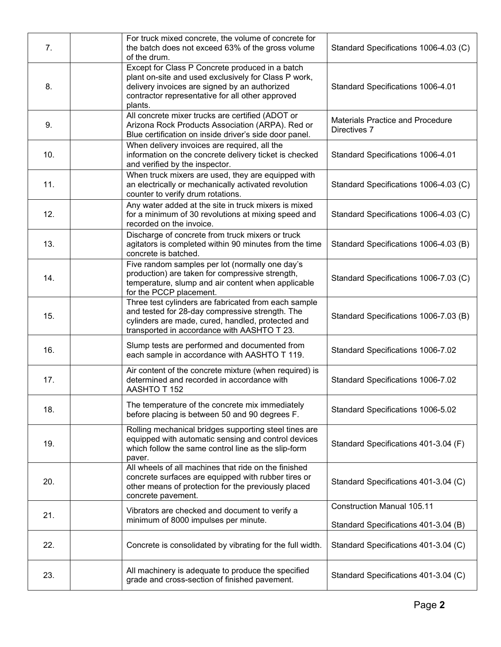| 7.  | For truck mixed concrete, the volume of concrete for<br>the batch does not exceed 63% of the gross volume<br>of the drum.                                                                                               | Standard Specifications 1006-4.03 (C)                   |
|-----|-------------------------------------------------------------------------------------------------------------------------------------------------------------------------------------------------------------------------|---------------------------------------------------------|
| 8.  | Except for Class P Concrete produced in a batch<br>plant on-site and used exclusively for Class P work,<br>delivery invoices are signed by an authorized<br>contractor representative for all other approved<br>plants. | Standard Specifications 1006-4.01                       |
| 9.  | All concrete mixer trucks are certified (ADOT or<br>Arizona Rock Products Association (ARPA). Red or<br>Blue certification on inside driver's side door panel.                                                          | <b>Materials Practice and Procedure</b><br>Directives 7 |
| 10. | When delivery invoices are required, all the<br>information on the concrete delivery ticket is checked<br>and verified by the inspector.                                                                                | Standard Specifications 1006-4.01                       |
| 11. | When truck mixers are used, they are equipped with<br>an electrically or mechanically activated revolution<br>counter to verify drum rotations.                                                                         | Standard Specifications 1006-4.03 (C)                   |
| 12. | Any water added at the site in truck mixers is mixed<br>for a minimum of 30 revolutions at mixing speed and<br>recorded on the invoice.                                                                                 | Standard Specifications 1006-4.03 (C)                   |
| 13. | Discharge of concrete from truck mixers or truck<br>agitators is completed within 90 minutes from the time<br>concrete is batched.                                                                                      | Standard Specifications 1006-4.03 (B)                   |
| 14. | Five random samples per lot (normally one day's<br>production) are taken for compressive strength,<br>temperature, slump and air content when applicable<br>for the PCCP placement.                                     | Standard Specifications 1006-7.03 (C)                   |
| 15. | Three test cylinders are fabricated from each sample<br>and tested for 28-day compressive strength. The<br>cylinders are made, cured, handled, protected and<br>transported in accordance with AASHTO T 23.             | Standard Specifications 1006-7.03 (B)                   |
| 16. | Slump tests are performed and documented from<br>each sample in accordance with AASHTO T 119.                                                                                                                           | Standard Specifications 1006-7.02                       |
| 17. | Air content of the concrete mixture (when required) is<br>determined and recorded in accordance with<br>AASHTO T 152                                                                                                    | Standard Specifications 1006-7.02                       |
| 18. | The temperature of the concrete mix immediately<br>before placing is between 50 and 90 degrees F.                                                                                                                       | Standard Specifications 1006-5.02                       |
| 19. | Rolling mechanical bridges supporting steel tines are<br>equipped with automatic sensing and control devices<br>which follow the same control line as the slip-form<br>paver.                                           | Standard Specifications 401-3.04 (F)                    |
| 20. | All wheels of all machines that ride on the finished<br>concrete surfaces are equipped with rubber tires or<br>other means of protection for the previously placed<br>concrete pavement.                                | Standard Specifications 401-3.04 (C)                    |
| 21. | Vibrators are checked and document to verify a<br>minimum of 8000 impulses per minute.                                                                                                                                  | <b>Construction Manual 105.11</b>                       |
|     |                                                                                                                                                                                                                         | Standard Specifications 401-3.04 (B)                    |
| 22. | Concrete is consolidated by vibrating for the full width.                                                                                                                                                               | Standard Specifications 401-3.04 (C)                    |
| 23. | All machinery is adequate to produce the specified<br>grade and cross-section of finished pavement.                                                                                                                     | Standard Specifications 401-3.04 (C)                    |